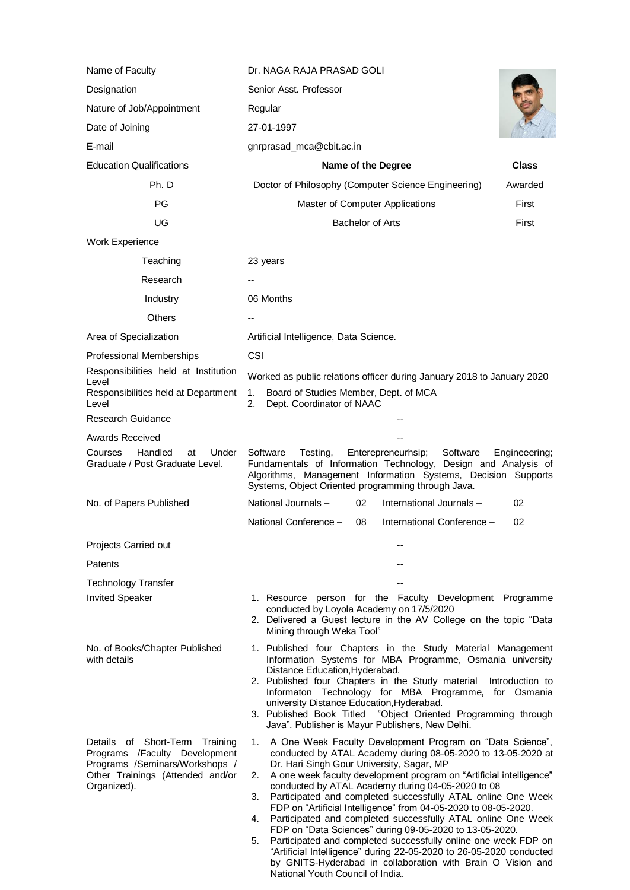| Name of Faculty                                                                                                                                      | Dr. NAGA RAJA PRASAD GOLI                                                                                                                                                                                                                                                                                                                                                                                                                                                                                                                                                                                                                                                                                                                                                                                                               |
|------------------------------------------------------------------------------------------------------------------------------------------------------|-----------------------------------------------------------------------------------------------------------------------------------------------------------------------------------------------------------------------------------------------------------------------------------------------------------------------------------------------------------------------------------------------------------------------------------------------------------------------------------------------------------------------------------------------------------------------------------------------------------------------------------------------------------------------------------------------------------------------------------------------------------------------------------------------------------------------------------------|
| Designation                                                                                                                                          | Senior Asst. Professor                                                                                                                                                                                                                                                                                                                                                                                                                                                                                                                                                                                                                                                                                                                                                                                                                  |
| Nature of Job/Appointment                                                                                                                            | Regular                                                                                                                                                                                                                                                                                                                                                                                                                                                                                                                                                                                                                                                                                                                                                                                                                                 |
| Date of Joining                                                                                                                                      | 27-01-1997                                                                                                                                                                                                                                                                                                                                                                                                                                                                                                                                                                                                                                                                                                                                                                                                                              |
| E-mail                                                                                                                                               | gnrprasad_mca@cbit.ac.in                                                                                                                                                                                                                                                                                                                                                                                                                                                                                                                                                                                                                                                                                                                                                                                                                |
| <b>Education Qualifications</b>                                                                                                                      | Name of the Degree<br>Class                                                                                                                                                                                                                                                                                                                                                                                                                                                                                                                                                                                                                                                                                                                                                                                                             |
| Ph. D                                                                                                                                                | Doctor of Philosophy (Computer Science Engineering)<br>Awarded                                                                                                                                                                                                                                                                                                                                                                                                                                                                                                                                                                                                                                                                                                                                                                          |
| PG                                                                                                                                                   | Master of Computer Applications<br>First                                                                                                                                                                                                                                                                                                                                                                                                                                                                                                                                                                                                                                                                                                                                                                                                |
| UG                                                                                                                                                   | <b>Bachelor of Arts</b><br>First                                                                                                                                                                                                                                                                                                                                                                                                                                                                                                                                                                                                                                                                                                                                                                                                        |
| Work Experience                                                                                                                                      |                                                                                                                                                                                                                                                                                                                                                                                                                                                                                                                                                                                                                                                                                                                                                                                                                                         |
| Teaching                                                                                                                                             | 23 years                                                                                                                                                                                                                                                                                                                                                                                                                                                                                                                                                                                                                                                                                                                                                                                                                                |
| Research                                                                                                                                             |                                                                                                                                                                                                                                                                                                                                                                                                                                                                                                                                                                                                                                                                                                                                                                                                                                         |
| Industry                                                                                                                                             | 06 Months                                                                                                                                                                                                                                                                                                                                                                                                                                                                                                                                                                                                                                                                                                                                                                                                                               |
| <b>Others</b>                                                                                                                                        |                                                                                                                                                                                                                                                                                                                                                                                                                                                                                                                                                                                                                                                                                                                                                                                                                                         |
| Area of Specialization                                                                                                                               | Artificial Intelligence, Data Science.                                                                                                                                                                                                                                                                                                                                                                                                                                                                                                                                                                                                                                                                                                                                                                                                  |
| Professional Memberships                                                                                                                             | <b>CSI</b>                                                                                                                                                                                                                                                                                                                                                                                                                                                                                                                                                                                                                                                                                                                                                                                                                              |
| Responsibilities held at Institution                                                                                                                 | Worked as public relations officer during January 2018 to January 2020                                                                                                                                                                                                                                                                                                                                                                                                                                                                                                                                                                                                                                                                                                                                                                  |
| Level<br>Responsibilities held at Department<br>Level                                                                                                | Board of Studies Member, Dept. of MCA<br>1.<br>2.<br>Dept. Coordinator of NAAC                                                                                                                                                                                                                                                                                                                                                                                                                                                                                                                                                                                                                                                                                                                                                          |
| <b>Research Guidance</b>                                                                                                                             |                                                                                                                                                                                                                                                                                                                                                                                                                                                                                                                                                                                                                                                                                                                                                                                                                                         |
| <b>Awards Received</b>                                                                                                                               |                                                                                                                                                                                                                                                                                                                                                                                                                                                                                                                                                                                                                                                                                                                                                                                                                                         |
| Handled<br>Under<br>Courses<br>at<br>Graduate / Post Graduate Level.                                                                                 | Software<br>Software<br>Testing,<br>Enterepreneurhsip;<br>Engineeering;<br>Fundamentals of Information Technology, Design and Analysis of<br>Algorithms, Management Information Systems, Decision Supports<br>Systems, Object Oriented programming through Java.                                                                                                                                                                                                                                                                                                                                                                                                                                                                                                                                                                        |
| No. of Papers Published                                                                                                                              | National Journals -<br>International Journals-<br>02<br>02                                                                                                                                                                                                                                                                                                                                                                                                                                                                                                                                                                                                                                                                                                                                                                              |
|                                                                                                                                                      | National Conference -<br>International Conference -<br>08<br>02                                                                                                                                                                                                                                                                                                                                                                                                                                                                                                                                                                                                                                                                                                                                                                         |
| Projects Carried out                                                                                                                                 |                                                                                                                                                                                                                                                                                                                                                                                                                                                                                                                                                                                                                                                                                                                                                                                                                                         |
| Patents                                                                                                                                              |                                                                                                                                                                                                                                                                                                                                                                                                                                                                                                                                                                                                                                                                                                                                                                                                                                         |
| <b>Technology Transfer</b>                                                                                                                           |                                                                                                                                                                                                                                                                                                                                                                                                                                                                                                                                                                                                                                                                                                                                                                                                                                         |
| <b>Invited Speaker</b>                                                                                                                               | 1. Resource person for the Faculty Development Programme<br>conducted by Loyola Academy on 17/5/2020<br>2. Delivered a Guest lecture in the AV College on the topic "Data<br>Mining through Weka Tool"                                                                                                                                                                                                                                                                                                                                                                                                                                                                                                                                                                                                                                  |
| No. of Books/Chapter Published<br>with details                                                                                                       | 1. Published four Chapters in the Study Material Management<br>Information Systems for MBA Programme, Osmania university<br>Distance Education, Hyderabad.<br>2. Published four Chapters in the Study material<br>Introduction to<br>Informaton Technology for MBA Programme, for Osmania<br>university Distance Education, Hyderabad.<br>3. Published Book Titled<br>"Object Oriented Programming through<br>Java". Publisher is Mayur Publishers, New Delhi.                                                                                                                                                                                                                                                                                                                                                                          |
| Details of Short-Term Training<br>Programs /Faculty Development<br>Programs /Seminars/Workshops /<br>Other Trainings (Attended and/or<br>Organized). | 1. A One Week Faculty Development Program on "Data Science",<br>conducted by ATAL Academy during 08-05-2020 to 13-05-2020 at<br>Dr. Hari Singh Gour University, Sagar, MP<br>A one week faculty development program on "Artificial intelligence"<br>2.<br>conducted by ATAL Academy during 04-05-2020 to 08<br>Participated and completed successfully ATAL online One Week<br>3.<br>FDP on "Artificial Intelligence" from 04-05-2020 to 08-05-2020.<br>Participated and completed successfully ATAL online One Week<br>4.<br>FDP on "Data Sciences" during 09-05-2020 to 13-05-2020.<br>Participated and completed successfully online one week FDP on<br>5.<br>"Artificial Intelligence" during 22-05-2020 to 26-05-2020 conducted<br>by GNITS-Hyderabad in collaboration with Brain O Vision and<br>National Youth Council of India. |